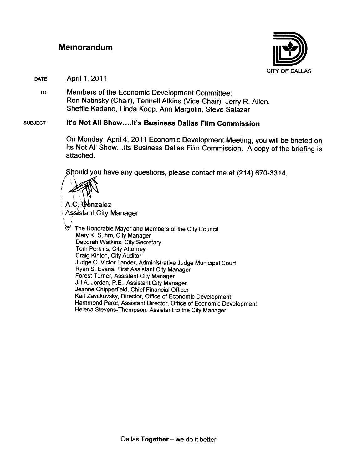#### **Memorandum**



April 1, 2011 **DATE** 

Members of the Economic Development Committee: TO Ron Natinsky (Chair), Tennell Atkins (Vice-Chair), Jerry R. Allen, Sheffie Kadane, Linda Koop, Ann Margolin, Steve Salazar

#### It's Not All Show....It's Business Dallas Film Commission **SUBJECT**

On Monday, April 4, 2011 Economic Development Meeting, you will be briefed on Its Not All Show...Its Business Dallas Film Commission. A copy of the briefing is attached.

Should you have any questions, please contact me at (214) 670-3314.

A.C. Gonzalez **Assistant City Manager** 

C. The Honorable Mayor and Members of the City Council Mary K. Suhm, City Manager Deborah Watkins, City Secretary Tom Perkins, City Attorney Craig Kinton, City Auditor Judge C. Victor Lander, Administrative Judge Municipal Court Ryan S. Evans, First Assistant City Manager Forest Turner, Assistant City Manager Jill A. Jordan, P.E., Assistant City Manager Jeanne Chipperfield, Chief Financial Officer Karl Zavitkovsky, Director, Office of Economic Development Hammond Perot, Assistant Director, Office of Economic Development Helena Stevens-Thompson, Assistant to the City Manager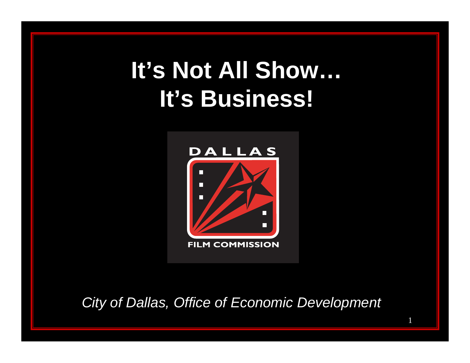# **It's Not All Show… It's Business!**



*City of Dallas, Office of Economic Development*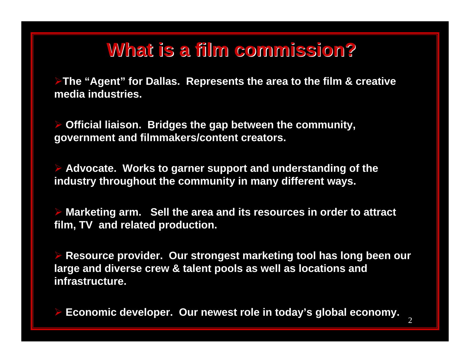## **What is a film commission? What is a film commission?**

**The "Agent" for Dallas. Represents the area to the film & creative media industries.**

 $\blacktriangleright$  **Official liaison. Bridges the gap between the community, government and filmmakers/content creators.**

 **Advocate. Works to garner support and understanding of the industry throughout the community in many different ways.** 

 $\blacktriangleright$  **Marketing arm. Sell the area and its resources in order to attract film, TV and related production.**

 $\blacktriangleright$  **Resource provider. Our strongest marketing tool has long been our large and diverse crew & talent pools as well as locations and infrastructure.**

 $\blacktriangleright$ **Economic developer. Our newest role in today's global economy.**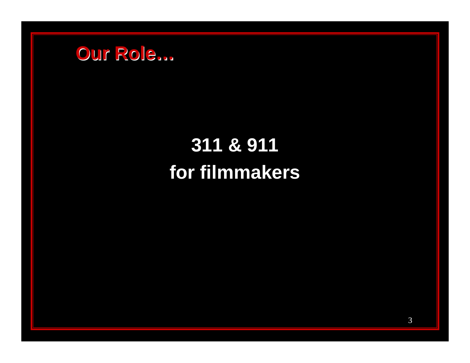

## 311 & 911 for filmmakers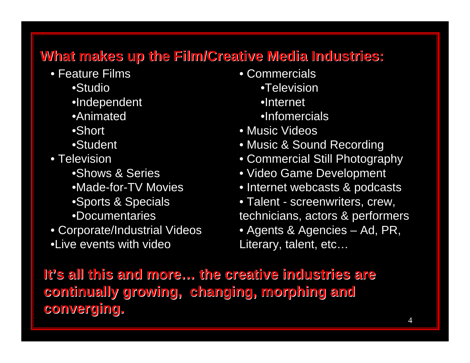## **What makes up the Film/Creative Media Industries: What makes up the Film/Creative Media Industries:**

- Feature Films
	- •Studio
	- •Independent
	- •Animated
	- •Short
	- •Student
- Television
	- •Shows & Series
	- •Made-for-TV Movies
	- •Sports & Specials
	- •Documentaries
- Corporate/Industrial Videos •Live events with video
- Commercials •Television •Internet •Infomercials
- Music Videos
- Music & Sound Recording
- Commercial Still Photography
- Video Game Development
- Internet webcasts & podcasts
- Talent screenwriters, crew, technicians, actors & performers • Agents & Agencies – Ad, PR, Literary, talent, etc…

**It's all this and more s all this and more…the creative industries are the creative industries are continually growing, changing, morphing and continually growing, changing, morphing and converging. converging.**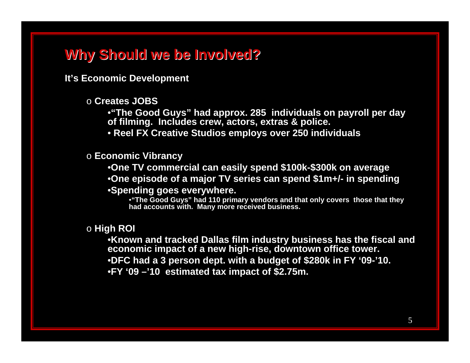### **Why Should we be Involved? Why Should we be Involved?**

**It's Economic Development** 

o **Creates JOBS** 

•**"The Good Guys" had approx. 285 individuals on payroll per day of filming. Includes crew, actors, extras & police.**

• **Reel FX Creative Studios employs over 250 individuals**

o **Economic Vibrancy**

•**One TV commercial can easily spend \$100k-\$300k on average**

•**One episode of a major TV series can spend \$1m+/- in spending**

•**Spending goes everywhere.**

•**"The Good Guys" had 110 primary vendors and that only covers those that they had accounts with. Many more received business.**

o **High ROI**

•**Known and tracked Dallas film industry business has the fiscal and economic impact of a new high-rise, downtown office tower.** •**DFC had a 3 person dept. with a budget of \$280k in FY '09-'10.**  •**FY '09 –'10 estimated tax impact of \$2.75m.**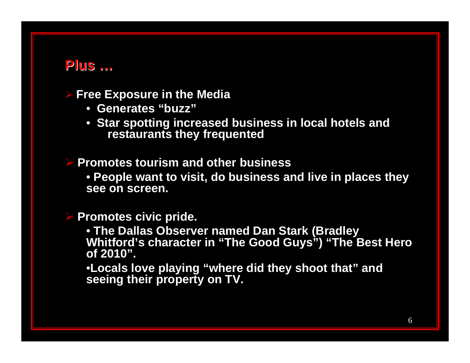### **Plus …**

#### $\blacktriangleright$ **Free Exposure in the Media**

- **Generates "buzz"**
- **Star spotting increased business in local hotels and restaurants they frequented**

 **Promotes tourism and other business** • **People want to visit, do business and live in places they see on screen.** 

#### **Promotes civic pride.**

• **The Dallas Observer named Dan Stark (Bradley Whitford's character in "The Good Guys") "The Best Hero of 2010".**

•**Locals love playing "where did they shoot that" and seeing their property on TV.**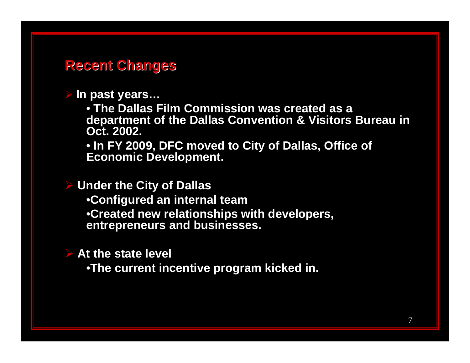### **Recent Changes Recent Changes**

#### $\blacktriangleright$ **In past years…**

• **The Dallas Film Commission was created as a department of the Dallas Convention & Visitors Bureau in Oct. 2002.**

• **In FY 2009, DFC moved to City of Dallas, Office of Economic Development.**

 **Under the City of Dallas** •**Configured an internal team** •**Created new relationships with developers, entrepreneurs and businesses.**

**At the state level**

•**The current incentive program kicked in.**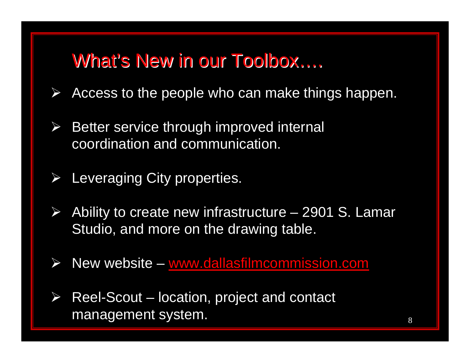## What's New in our Toolbox….

- $\blacktriangleright$ Access to the people who can make things happen.
- $\blacktriangleright$  Better service through improved internal coordination and communication.
- $\blacktriangleright$ Leveraging City properties.
- $\blacktriangleright$ Ability to create new infrastructure - 2901 S. Lamar Studio, and more on the drawing table.
- $\blacktriangleright$  $\triangleright$  New website – [www.dallasfilmcommission.com](http://www.dallasfilmcommission.com/)
- $\blacktriangleright$  Reel-Scout – location, project and contact management system.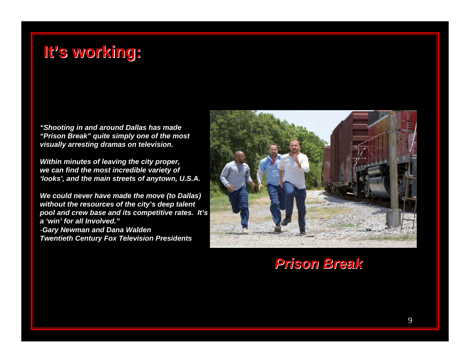## **It's working: s working:**

*"Shooting in and around Dallas has made "Prison Break" quite simply one of the most visually arresting dramas on television.* 

*Within minutes of leaving the city proper, we can find the most incredible variety of 'looks', and the main streets of anytown, U.S.A.* 

*We could never have made the move (to Dallas) without the resources of the city's deep talent pool and crew base and its competitive rates. It's a 'win' for all Involved."*-*Gary Newman and Dana Walden Twentieth Century Fox Television Presidents*



*Prison Break Prison Break*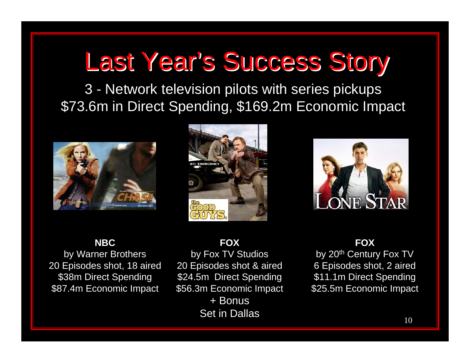# Last Year's Success Story

3 - Network television pilots with series pickups \$73.6m in Direct Spending, \$169.2m Economic Impact







### **NBC**

by Warner Brothers 20 Episodes shot, 18 aired \$38m Direct Spending \$87.4m Economic Impact

### **FOX**

by Fox TV Studios 20 Episodes shot & aired \$24.5m Direct Spending \$56.3m Economic Impact

+ Bonus Set in Dallas

### **FOX**

by 20<sup>th</sup> Century Fox TV 6 Episodes shot, 2 aired \$11.1m Direct Spending \$25.5m Economic Impact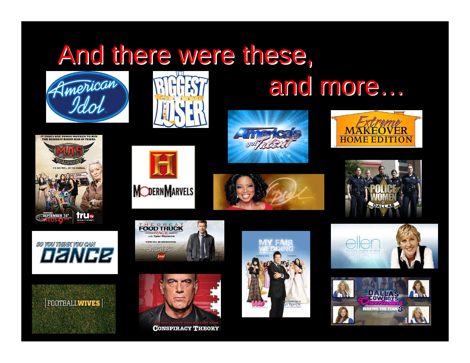# And there were these,





# and more...

























**CONSPIRACY THEORY** 

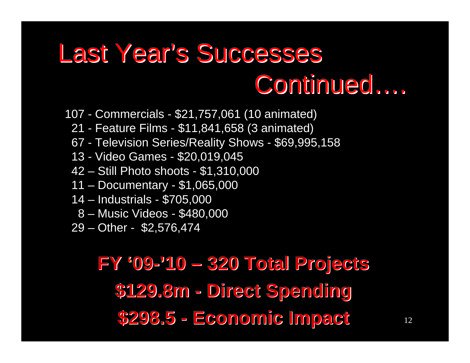# Last Year's Successes Continued ....

- 107 Commercials \$21,757,061 (10 animated)
	- 21 Feature Films \$11,841,658 (3 animated)
	- 67 Television Series/Reality Shows \$69,995,158
	- 13 Video Games \$20,019,045
	- 42 Still Photo shoots \$1,310,000
	- 11 Documentary \$1,065,000
	- 14 Industrials \$705,000
		- 8 Music Videos \$480,000
	- 29 Other \$2,576,474

## **FY '09-'10 –320 Total Projects 320 Total Projects \$129.8m \$129.8m -Direct Spending Direct Spending \$298.5 -Economic Impact Economic Impact** <sup>12</sup>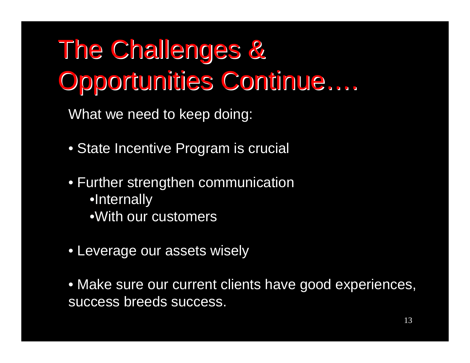## The Challenges & The Challenges & Opportunities Continue Opportunities Continue … .

What we need to keep doing:

- State Incentive Program is crucial
- Further strengthen communication •Internally •With our customers
- Leverage our assets wisely

• Make sure our current clients have good experiences, success breeds success.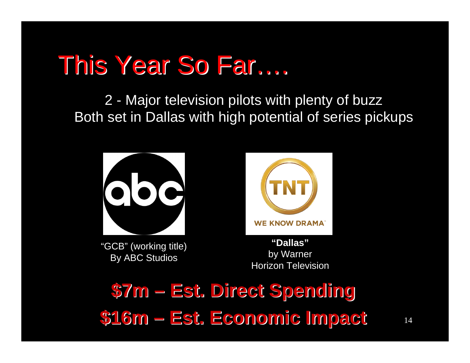# This Year So Far....

2 - Major television pilots with plenty of buzz Both set in Dallas with high potential of series pickups



**\$16m – –Est. Economic Impact Est. Economic Impact**